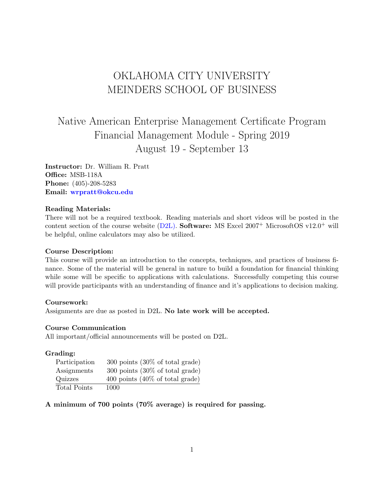## OKLAHOMA CITY UNIVERSITY MEINDERS SCHOOL OF BUSINESS

# Native American Enterprise Management Certificate Program Financial Management Module - Spring 2019 August 19 - September 13

Instructor: Dr. William R. Pratt Office: MSB-118A Phone: (405)-208-5283 Email: [wrpratt@okcu.edu](mailto:wrpratt@okcu.edu)

#### Reading Materials:

There will not be a required textbook. Reading materials and short videos will be posted in the content section of the course website [\(D2L\).](https://ocuonline.okcu.edu/d2l/home) Software: MS Excel  $2007^+$  MicrosoftOS v12.0<sup>+</sup> will be helpful, online calculators may also be utilized.

#### Course Description:

This course will provide an introduction to the concepts, techniques, and practices of business finance. Some of the material will be general in nature to build a foundation for financial thinking while some will be specific to applications with calculations. Successfully competing this course will provide participants with an understanding of finance and it's applications to decision making.

#### Coursework:

Assignments are due as posted in D2L. No late work will be accepted.

#### Course Communication

All important/official announcements will be posted on D2L.

#### Grading:

| Participation       | $300$ points $(30\% \text{ of total grade})$ |
|---------------------|----------------------------------------------|
| Assignments         | $300$ points $(30\% \text{ of total grade})$ |
| Quizzes             | 400 points $(40\% \text{ of total grade})$   |
| <b>Total Points</b> | 1000                                         |

## A minimum of 700 points (70% average) is required for passing.